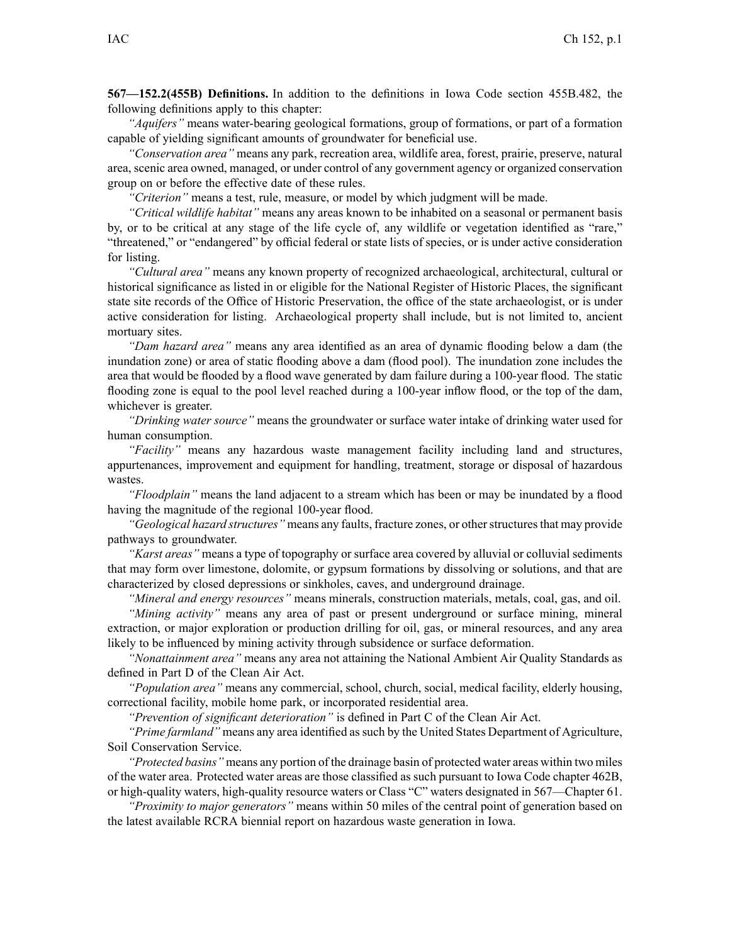**567—152.2(455B) Definitions.** In addition to the definitions in Iowa Code section 455B.482, the following definitions apply to this chapter:

*"Aquifers"* means water-bearing geological formations, group of formations, or par<sup>t</sup> of <sup>a</sup> formation capable of yielding significant amounts of groundwater for beneficial use.

*"Conservation area"* means any park, recreation area, wildlife area, forest, prairie, preserve, natural area, scenic area owned, managed, or under control of any governmen<sup>t</sup> agency or organized conservation group on or before the effective date of these rules.

*"Criterion"* means <sup>a</sup> test, rule, measure, or model by which judgment will be made.

*"Critical wildlife habitat"* means any areas known to be inhabited on <sup>a</sup> seasonal or permanen<sup>t</sup> basis by, or to be critical at any stage of the life cycle of, any wildlife or vegetation identified as "rare," "threatened," or "endangered" by official federal or state lists of species, or is under active consideration for listing.

*"Cultural area"* means any known property of recognized archaeological, architectural, cultural or historical significance as listed in or eligible for the National Register of Historic Places, the significant state site records of the Office of Historic Preservation, the office of the state archaeologist, or is under active consideration for listing. Archaeological property shall include, but is not limited to, ancient mortuary sites.

*"Dam hazard area"* means any area identified as an area of dynamic flooding below <sup>a</sup> dam (the inundation zone) or area of static flooding above <sup>a</sup> dam (flood pool). The inundation zone includes the area that would be flooded by <sup>a</sup> flood wave generated by dam failure during <sup>a</sup> 100-year flood. The static flooding zone is equal to the pool level reached during <sup>a</sup> 100-year inflow flood, or the top of the dam, whichever is greater.

*"Drinking water source"* means the groundwater or surface water intake of drinking water used for human consumption.

*"Facility"* means any hazardous waste managemen<sup>t</sup> facility including land and structures, appurtenances, improvement and equipment for handling, treatment, storage or disposal of hazardous wastes.

*"Floodplain"* means the land adjacent to <sup>a</sup> stream which has been or may be inundated by <sup>a</sup> flood having the magnitude of the regional 100-year flood.

*"Geological hazard structures* " means any faults, fracture zones, or other structures that may provide pathways to groundwater.

*"Karst areas"* means <sup>a</sup> type of topography or surface area covered by alluvial or colluvial sediments that may form over limestone, dolomite, or gypsum formations by dissolving or solutions, and that are characterized by closed depressions or sinkholes, caves, and underground drainage.

*"Mineral and energy resources"* means minerals, construction materials, metals, coal, gas, and oil.

*"Mining activity"* means any area of pas<sup>t</sup> or presen<sup>t</sup> underground or surface mining, mineral extraction, or major exploration or production drilling for oil, gas, or mineral resources, and any area likely to be influenced by mining activity through subsidence or surface deformation.

*"Nonattainment area"* means any area not attaining the National Ambient Air Quality Standards as defined in Part D of the Clean Air Act.

*"Population area"* means any commercial, school, church, social, medical facility, elderly housing, correctional facility, mobile home park, or incorporated residential area.

*"Prevention of significant deterioration"* is defined in Part C of the Clean Air Act.

*"Prime farmland"* means any area identified assuch by the United States Department of Agriculture, Soil Conservation Service.

*"Protected basins"* means any portion of the drainage basin of protected water areas within two miles of the water area. Protected water areas are those classified as such pursuan<sup>t</sup> to Iowa Code chapter 462B, or high-quality waters, high-quality resource waters or Class "C" waters designated in 567—Chapter 61.

*"Proximity to major generators"* means within 50 miles of the central point of generation based on the latest available RCRA biennial repor<sup>t</sup> on hazardous waste generation in Iowa.